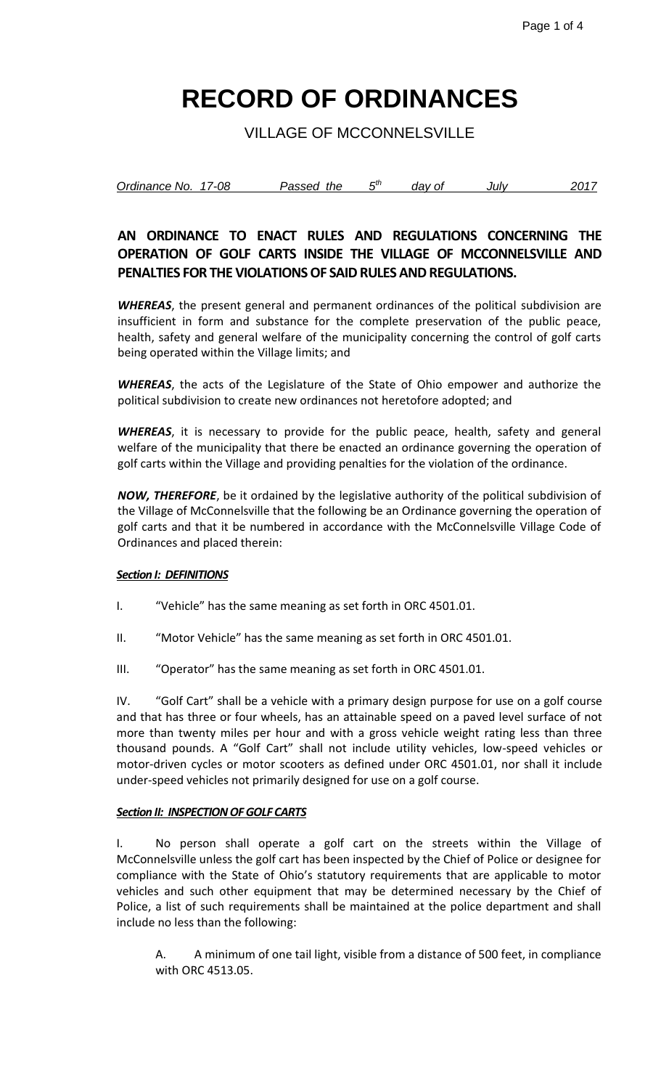VILLAGE OF MCCONNELSVILLE

| Ordinance No. | 17-08 | Passed the | Еth | dav of | Julv | 201. |
|---------------|-------|------------|-----|--------|------|------|
|               |       |            |     |        |      |      |

## **AN ORDINANCE TO ENACT RULES AND REGULATIONS CONCERNING THE OPERATION OF GOLF CARTS INSIDE THE VILLAGE OF MCCONNELSVILLE AND PENALTIES FOR THE VIOLATIONS OF SAID RULES AND REGULATIONS.**

*WHEREAS*, the present general and permanent ordinances of the political subdivision are insufficient in form and substance for the complete preservation of the public peace, health, safety and general welfare of the municipality concerning the control of golf carts being operated within the Village limits; and

*WHEREAS*, the acts of the Legislature of the State of Ohio empower and authorize the political subdivision to create new ordinances not heretofore adopted; and

*WHEREAS*, it is necessary to provide for the public peace, health, safety and general welfare of the municipality that there be enacted an ordinance governing the operation of golf carts within the Village and providing penalties for the violation of the ordinance.

*NOW, THEREFORE*, be it ordained by the legislative authority of the political subdivision of the Village of McConnelsville that the following be an Ordinance governing the operation of golf carts and that it be numbered in accordance with the McConnelsville Village Code of Ordinances and placed therein:

### *Section I: DEFINITIONS*

- I. "Vehicle" has the same meaning as set forth in ORC 4501.01.
- II. "Motor Vehicle" has the same meaning as set forth in ORC 4501.01.
- III. "Operator" has the same meaning as set forth in ORC 4501.01.

IV. "Golf Cart" shall be a vehicle with a primary design purpose for use on a golf course and that has three or four wheels, has an attainable speed on a paved level surface of not more than twenty miles per hour and with a gross vehicle weight rating less than three thousand pounds. A "Golf Cart" shall not include utility vehicles, low-speed vehicles or motor-driven cycles or motor scooters as defined under ORC 4501.01, nor shall it include under-speed vehicles not primarily designed for use on a golf course.

### *Section II: INSPECTION OF GOLF CARTS*

I. No person shall operate a golf cart on the streets within the Village of McConnelsville unless the golf cart has been inspected by the Chief of Police or designee for compliance with the State of Ohio's statutory requirements that are applicable to motor vehicles and such other equipment that may be determined necessary by the Chief of Police, a list of such requirements shall be maintained at the police department and shall include no less than the following:

A. A minimum of one tail light, visible from a distance of 500 feet, in compliance with ORC 4513.05.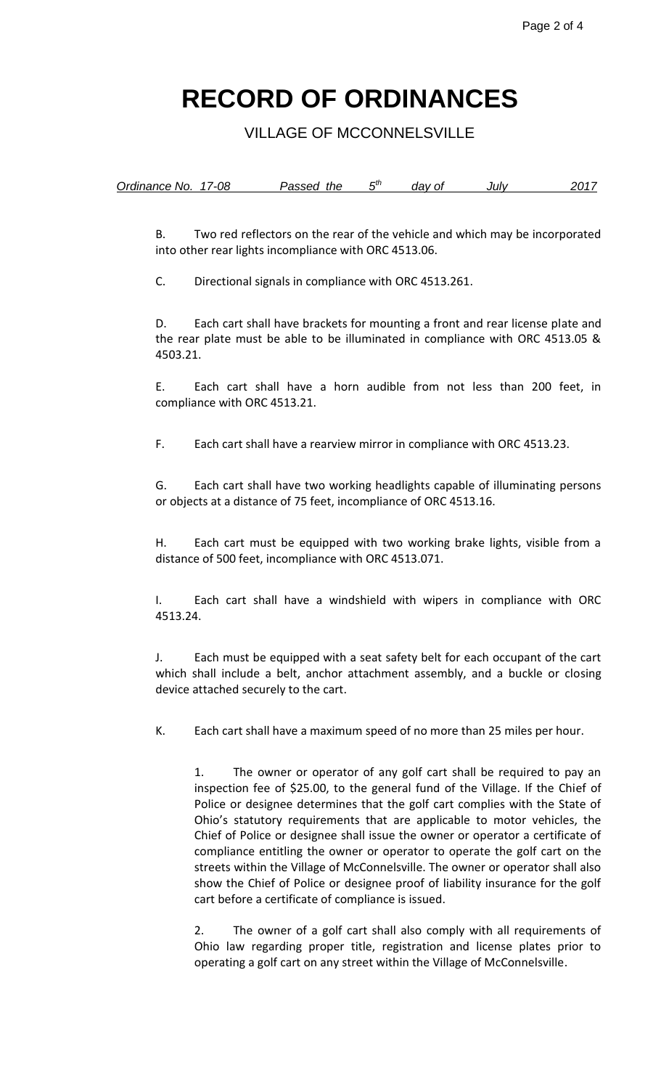VILLAGE OF MCCONNELSVILLE

| Ordinance No. 17-08 | Passed the | dav of | Julv | 201 |
|---------------------|------------|--------|------|-----|
|                     |            |        |      |     |

B. Two red reflectors on the rear of the vehicle and which may be incorporated into other rear lights incompliance with ORC 4513.06.

C. Directional signals in compliance with ORC 4513.261.

D. Each cart shall have brackets for mounting a front and rear license plate and the rear plate must be able to be illuminated in compliance with ORC 4513.05 & 4503.21.

E. Each cart shall have a horn audible from not less than 200 feet, in compliance with ORC 4513.21.

F. Each cart shall have a rearview mirror in compliance with ORC 4513.23.

G. Each cart shall have two working headlights capable of illuminating persons or objects at a distance of 75 feet, incompliance of ORC 4513.16.

H. Each cart must be equipped with two working brake lights, visible from a distance of 500 feet, incompliance with ORC 4513.071.

I. Each cart shall have a windshield with wipers in compliance with ORC 4513.24.

J. Each must be equipped with a seat safety belt for each occupant of the cart which shall include a belt, anchor attachment assembly, and a buckle or closing device attached securely to the cart.

K. Each cart shall have a maximum speed of no more than 25 miles per hour.

1. The owner or operator of any golf cart shall be required to pay an inspection fee of \$25.00, to the general fund of the Village. If the Chief of Police or designee determines that the golf cart complies with the State of Ohio's statutory requirements that are applicable to motor vehicles, the Chief of Police or designee shall issue the owner or operator a certificate of compliance entitling the owner or operator to operate the golf cart on the streets within the Village of McConnelsville. The owner or operator shall also show the Chief of Police or designee proof of liability insurance for the golf cart before a certificate of compliance is issued.

2. The owner of a golf cart shall also comply with all requirements of Ohio law regarding proper title, registration and license plates prior to operating a golf cart on any street within the Village of McConnelsville.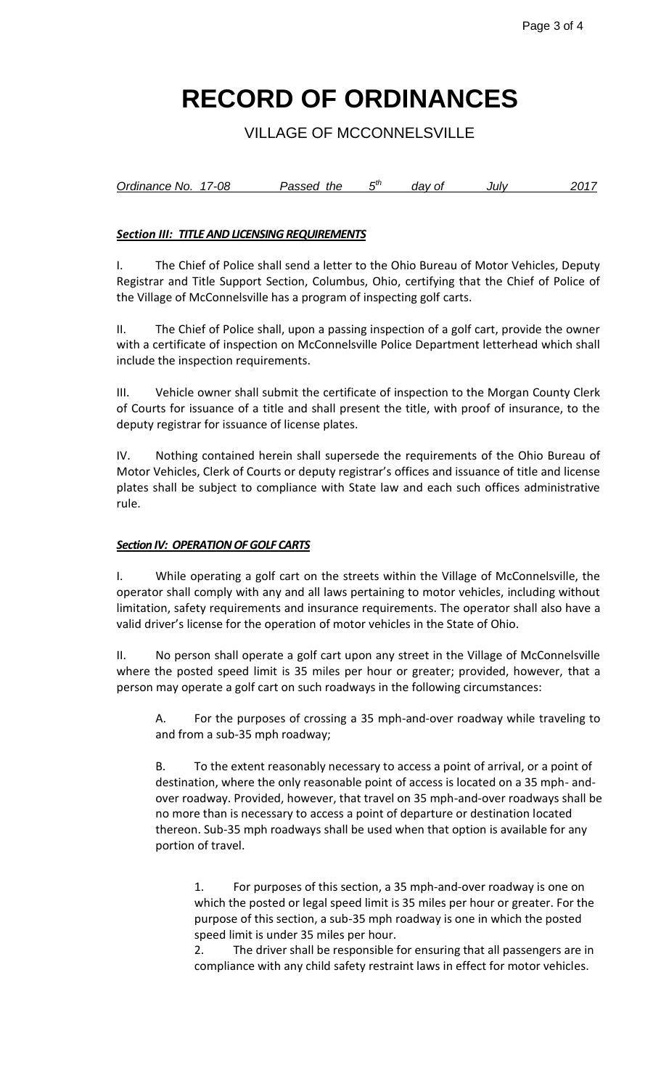VILLAGE OF MCCONNELSVILLE

*Ordinance No. 17-08 Passed the th day of July 2017*

### *Section III: TITLE AND LICENSING REQUIREMENTS*

I. The Chief of Police shall send a letter to the Ohio Bureau of Motor Vehicles, Deputy Registrar and Title Support Section, Columbus, Ohio, certifying that the Chief of Police of the Village of McConnelsville has a program of inspecting golf carts.

II. The Chief of Police shall, upon a passing inspection of a golf cart, provide the owner with a certificate of inspection on McConnelsville Police Department letterhead which shall include the inspection requirements.

III. Vehicle owner shall submit the certificate of inspection to the Morgan County Clerk of Courts for issuance of a title and shall present the title, with proof of insurance, to the deputy registrar for issuance of license plates.

IV. Nothing contained herein shall supersede the requirements of the Ohio Bureau of Motor Vehicles, Clerk of Courts or deputy registrar's offices and issuance of title and license plates shall be subject to compliance with State law and each such offices administrative rule.

### *Section IV: OPERATION OF GOLF CARTS*

I. While operating a golf cart on the streets within the Village of McConnelsville, the operator shall comply with any and all laws pertaining to motor vehicles, including without limitation, safety requirements and insurance requirements. The operator shall also have a valid driver's license for the operation of motor vehicles in the State of Ohio.

II. No person shall operate a golf cart upon any street in the Village of McConnelsville where the posted speed limit is 35 miles per hour or greater; provided, however, that a person may operate a golf cart on such roadways in the following circumstances:

A. For the purposes of crossing a 35 mph-and-over roadway while traveling to and from a sub-35 mph roadway;

B. To the extent reasonably necessary to access a point of arrival, or a point of destination, where the only reasonable point of access is located on a 35 mph- andover roadway. Provided, however, that travel on 35 mph-and-over roadways shall be no more than is necessary to access a point of departure or destination located thereon. Sub-35 mph roadways shall be used when that option is available for any portion of travel.

1. For purposes of this section, a 35 mph-and-over roadway is one on which the posted or legal speed limit is 35 miles per hour or greater. For the purpose of this section, a sub-35 mph roadway is one in which the posted speed limit is under 35 miles per hour.

2. The driver shall be responsible for ensuring that all passengers are in compliance with any child safety restraint laws in effect for motor vehicles.